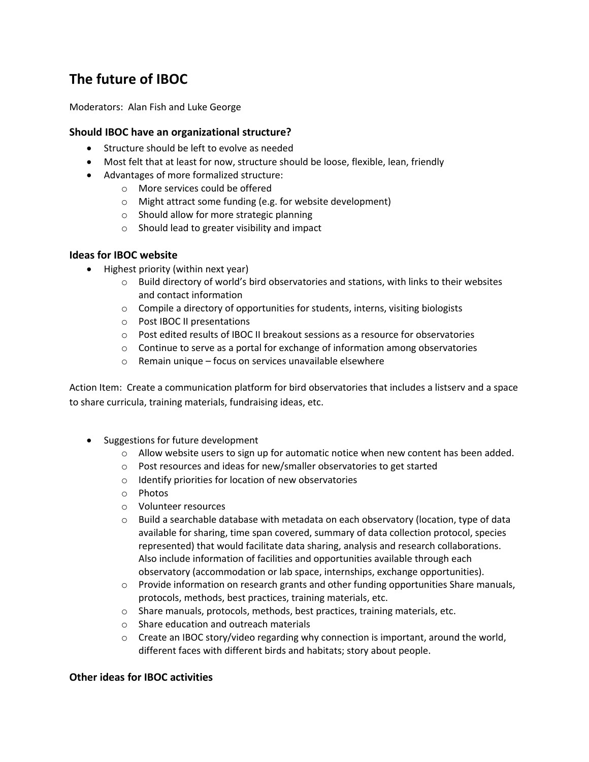# **The future of IBOC**

Moderators: Alan Fish and Luke George

### **Should IBOC have an organizational structure?**

- Structure should be left to evolve as needed
- Most felt that at least for now, structure should be loose, flexible, lean, friendly
- Advantages of more formalized structure:
	- o More services could be offered
	- o Might attract some funding (e.g. for website development)
	- o Should allow for more strategic planning
	- o Should lead to greater visibility and impact

#### **Ideas for IBOC website**

- Highest priority (within next year)
	- $\circ$  Build directory of world's bird observatories and stations, with links to their websites and contact information
	- $\circ$  Compile a directory of opportunities for students, interns, visiting biologists
	- o Post IBOC II presentations
	- $\circ$  Post edited results of IBOC II breakout sessions as a resource for observatories
	- o Continue to serve as a portal for exchange of information among observatories
	- o Remain unique focus on services unavailable elsewhere

Action Item: Create a communication platform for bird observatories that includes a listserv and a space to share curricula, training materials, fundraising ideas, etc.

- Suggestions for future development
	- $\circ$  Allow website users to sign up for automatic notice when new content has been added.
	- o Post resources and ideas for new/smaller observatories to get started
	- $\circ$  Identify priorities for location of new observatories
	- o Photos
	- o Volunteer resources
	- $\circ$  Build a searchable database with metadata on each observatory (location, type of data available for sharing, time span covered, summary of data collection protocol, species represented) that would facilitate data sharing, analysis and research collaborations. Also include information of facilities and opportunities available through each observatory (accommodation or lab space, internships, exchange opportunities).
	- $\circ$  Provide information on research grants and other funding opportunities Share manuals, protocols, methods, best practices, training materials, etc.
	- o Share manuals, protocols, methods, best practices, training materials, etc.
	- o Share education and outreach materials
	- $\circ$  Create an IBOC story/video regarding why connection is important, around the world, different faces with different birds and habitats; story about people.

## **Other ideas for IBOC activities**